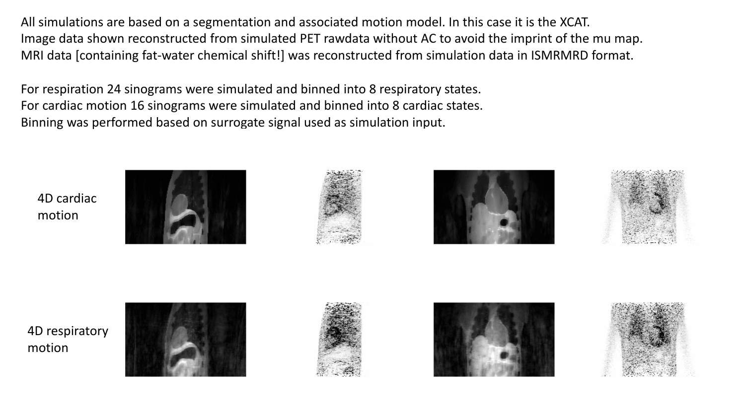All simulations are based on a segmentation and associated motion model. In this case it is the XCAT. Image data shown reconstructed from simulated PET rawdata without AC to avoid the imprint of the mu map. MRI data [containing fat-water chemical shift!] was reconstructed from simulation data in ISMRMRD format.

For respiration 24 sinograms were simulated and binned into 8 respiratory states. For cardiac motion 16 sinograms were simulated and binned into 8 cardiac states. Binning was performed based on surrogate signal used as simulation input.











4D respiratory motion